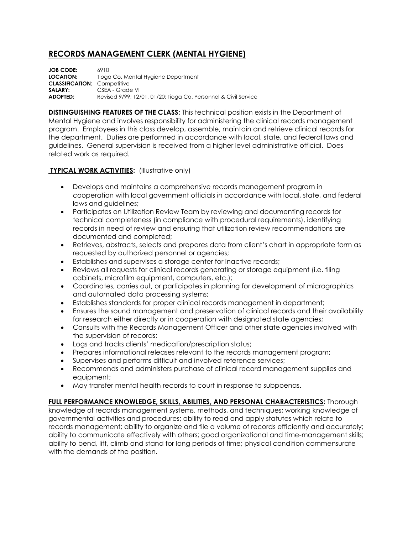## **RECORDS MANAGEMENT CLERK (MENTAL HYGIENE)**

**JOB CODE:** 6910 **LOCATION:** Tioga Co. Mental Hygiene Department **CLASSIFICATION:** Competitive **SALARY:** CSEA - Grade VI **ADOPTED:** Revised 9/99; 12/01, 01/20; Tioga Co. Personnel & Civil Service

**DISTINGUISHING FEATURES OF THE CLASS:** This technical position exists in the Department of Mental Hygiene and involves responsibility for administering the clinical records management program. Employees in this class develop, assemble, maintain and retrieve clinical records for the department. Duties are performed in accordance with local, state, and federal laws and guidelines. General supervision is received from a higher level administrative official. Does related work as required.

## **TYPICAL WORK ACTIVITIES: (Illustrative only)**

- Develops and maintains a comprehensive records management program in cooperation with local government officials in accordance with local, state, and federal laws and guidelines;
- Participates on Utilization Review Team by reviewing and documenting records for technical completeness (in compliance with procedural requirements), identifying records in need of review and ensuring that utilization review recommendations are documented and completed;
- Retrieves, abstracts, selects and prepares data from client's chart in appropriate form as requested by authorized personnel or agencies;
- Establishes and supervises a storage center for inactive records;
- Reviews all requests for clinical records generating or storage equipment (i.e. filing cabinets, microfilm equipment, computers, etc.);
- Coordinates, carries out, or participates in planning for development of micrographics and automated data processing systems;
- Establishes standards for proper clinical records management in department;
- Ensures the sound management and preservation of clinical records and their availability for research either directly or in cooperation with designated state agencies;
- Consults with the Records Management Officer and other state agencies involved with the supervision of records;
- Logs and tracks clients' medication/prescription status;
- Prepares informational releases relevant to the records management program;
- Supervises and performs difficult and involved reference services;
- Recommends and administers purchase of clinical record management supplies and equipment;
- May transfer mental health records to court in response to subpoenas.

**FULL PERFORMANCE KNOWLEDGE, SKILLS, ABILITIES, AND PERSONAL CHARACTERISTICS:** Thorough knowledge of records management systems, methods, and techniques; working knowledge of governmental activities and procedures; ability to read and apply statutes which relate to records management; ability to organize and file a volume of records efficiently and accurately; ability to communicate effectively with others; good organizational and time-management skills; ability to bend, lift, climb and stand for long periods of time; physical condition commensurate with the demands of the position.